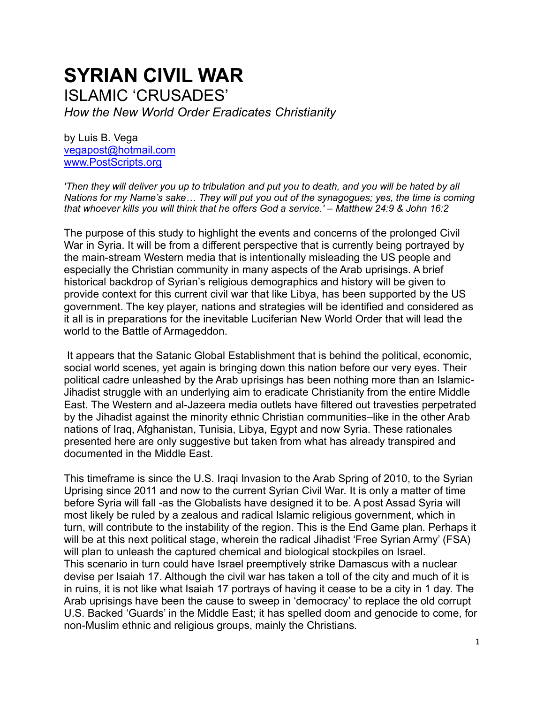# **SYRIAN CIVIL WAR** ISLAMIC 'CRUSADES' *How the New World Order Eradicates Christianity*

by Luis B. Vega [vegapost@hotmail.com](mailto:vegapost@hotmail.com) [www.PostScripts.org](http://www.postscripts.org/)

*'Then they will deliver you up to tribulation and put you to death, and you will be hated by all Nations for my Name's sake… They will put you out of the synagogues; yes, the time is coming that whoever kills you will think that he offers God a service.' – Matthew 24:9 & John 16:2*

The purpose of this study to highlight the events and concerns of the prolonged Civil War in Syria. It will be from a different perspective that is currently being portrayed by the main-stream Western media that is intentionally misleading the US people and especially the Christian community in many aspects of the Arab uprisings. A brief historical backdrop of Syrian's religious demographics and history will be given to provide context for this current civil war that like Libya, has been supported by the US government. The key player, nations and strategies will be identified and considered as it all is in preparations for the inevitable Luciferian New World Order that will lead the world to the Battle of Armageddon.

It appears that the Satanic Global Establishment that is behind the political, economic, social world scenes, yet again is bringing down this nation before our very eyes. Their political cadre unleashed by the Arab uprisings has been nothing more than an Islamic-Jihadist struggle with an underlying aim to eradicate Christianity from the entire Middle East. The Western and al-Jazeera media outlets have filtered out travesties perpetrated by the Jihadist against the minority ethnic Christian communities–like in the other Arab nations of Iraq, Afghanistan, Tunisia, Libya, Egypt and now Syria. These rationales presented here are only suggestive but taken from what has already transpired and documented in the Middle East.

This timeframe is since the U.S. Iraqi Invasion to the Arab Spring of 2010, to the Syrian Uprising since 2011 and now to the current Syrian Civil War. It is only a matter of time before Syria will fall -as the Globalists have designed it to be. A post Assad Syria will most likely be ruled by a zealous and radical Islamic religious government, which in turn, will contribute to the instability of the region. This is the End Game plan. Perhaps it will be at this next political stage, wherein the radical Jihadist 'Free Syrian Army' (FSA) will plan to unleash the captured chemical and biological stockpiles on Israel. This scenario in turn could have Israel preemptively strike Damascus with a nuclear devise per Isaiah 17. Although the civil war has taken a toll of the city and much of it is in ruins, it is not like what Isaiah 17 portrays of having it cease to be a city in 1 day. The Arab uprisings have been the cause to sweep in 'democracy' to replace the old corrupt U.S. Backed 'Guards' in the Middle East; it has spelled doom and genocide to come, for non-Muslim ethnic and religious groups, mainly the Christians.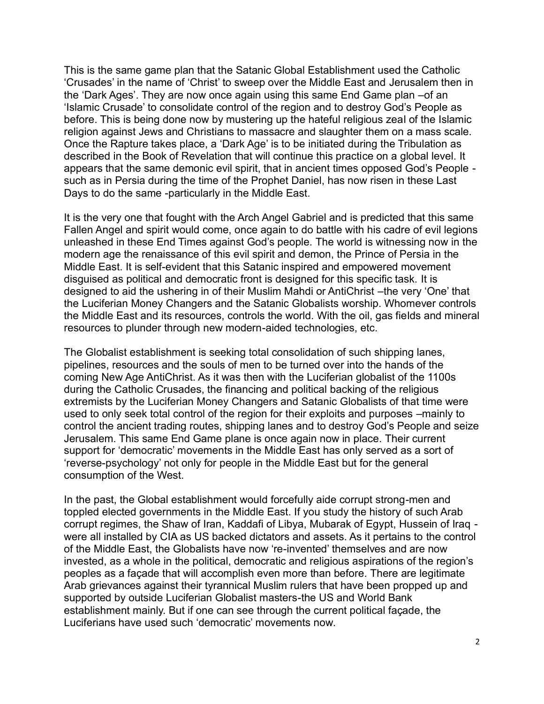This is the same game plan that the Satanic Global Establishment used the Catholic 'Crusades' in the name of 'Christ' to sweep over the Middle East and Jerusalem then in the 'Dark Ages'. They are now once again using this same End Game plan –of an 'Islamic Crusade' to consolidate control of the region and to destroy God's People as before. This is being done now by mustering up the hateful religious zeal of the Islamic religion against Jews and Christians to massacre and slaughter them on a mass scale. Once the Rapture takes place, a 'Dark Age' is to be initiated during the Tribulation as described in the Book of Revelation that will continue this practice on a global level. It appears that the same demonic evil spirit, that in ancient times opposed God's People such as in Persia during the time of the Prophet Daniel, has now risen in these Last Days to do the same -particularly in the Middle East.

It is the very one that fought with the Arch Angel Gabriel and is predicted that this same Fallen Angel and spirit would come, once again to do battle with his cadre of evil legions unleashed in these End Times against God's people. The world is witnessing now in the modern age the renaissance of this evil spirit and demon, the Prince of Persia in the Middle East. It is self-evident that this Satanic inspired and empowered movement disguised as political and democratic front is designed for this specific task. It is designed to aid the ushering in of their Muslim Mahdi or AntiChrist –the very 'One' that the Luciferian Money Changers and the Satanic Globalists worship. Whomever controls the Middle East and its resources, controls the world. With the oil, gas fields and mineral resources to plunder through new modern-aided technologies, etc.

The Globalist establishment is seeking total consolidation of such shipping lanes, pipelines, resources and the souls of men to be turned over into the hands of the coming New Age AntiChrist. As it was then with the Luciferian globalist of the 1100s during the Catholic Crusades, the financing and political backing of the religious extremists by the Luciferian Money Changers and Satanic Globalists of that time were used to only seek total control of the region for their exploits and purposes –mainly to control the ancient trading routes, shipping lanes and to destroy God's People and seize Jerusalem. This same End Game plane is once again now in place. Their current support for 'democratic' movements in the Middle East has only served as a sort of 'reverse-psychology' not only for people in the Middle East but for the general consumption of the West.

In the past, the Global establishment would forcefully aide corrupt strong-men and toppled elected governments in the Middle East. If you study the history of such Arab corrupt regimes, the Shaw of Iran, Kaddafi of Libya, Mubarak of Egypt, Hussein of Iraq were all installed by CIA as US backed dictators and assets. As it pertains to the control of the Middle East, the Globalists have now 're-invented' themselves and are now invested, as a whole in the political, democratic and religious aspirations of the region's peoples as a façade that will accomplish even more than before. There are legitimate Arab grievances against their tyrannical Muslim rulers that have been propped up and supported by outside Luciferian Globalist masters-the US and World Bank establishment mainly. But if one can see through the current political façade, the Luciferians have used such 'democratic' movements now.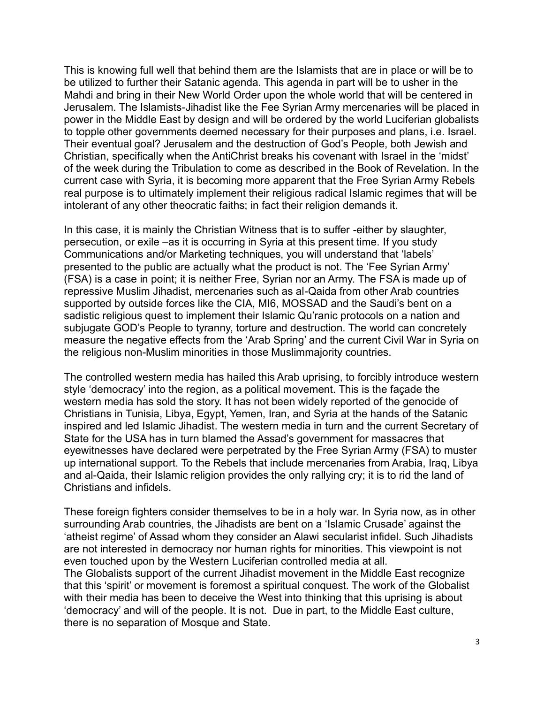This is knowing full well that behind them are the Islamists that are in place or will be to be utilized to further their Satanic agenda. This agenda in part will be to usher in the Mahdi and bring in their New World Order upon the whole world that will be centered in Jerusalem. The Islamists-Jihadist like the Fee Syrian Army mercenaries will be placed in power in the Middle East by design and will be ordered by the world Luciferian globalists to topple other governments deemed necessary for their purposes and plans, i.e. Israel. Their eventual goal? Jerusalem and the destruction of God's People, both Jewish and Christian, specifically when the AntiChrist breaks his covenant with Israel in the 'midst' of the week during the Tribulation to come as described in the Book of Revelation. In the current case with Syria, it is becoming more apparent that the Free Syrian Army Rebels real purpose is to ultimately implement their religious radical Islamic regimes that will be intolerant of any other theocratic faiths; in fact their religion demands it.

In this case, it is mainly the Christian Witness that is to suffer -either by slaughter, persecution, or exile –as it is occurring in Syria at this present time. If you study Communications and/or Marketing techniques, you will understand that 'labels' presented to the public are actually what the product is not. The 'Fee Syrian Army' (FSA) is a case in point; it is neither Free, Syrian nor an Army. The FSA is made up of repressive Muslim Jihadist, mercenaries such as al-Qaida from other Arab countries supported by outside forces like the CIA, MI6, MOSSAD and the Saudi's bent on a sadistic religious quest to implement their Islamic Qu'ranic protocols on a nation and subjugate GOD's People to tyranny, torture and destruction. The world can concretely measure the negative effects from the 'Arab Spring' and the current Civil War in Syria on the religious non-Muslim minorities in those Muslimmajority countries.

The controlled western media has hailed this Arab uprising, to forcibly introduce western style 'democracy' into the region, as a political movement. This is the façade the western media has sold the story. It has not been widely reported of the genocide of Christians in Tunisia, Libya, Egypt, Yemen, Iran, and Syria at the hands of the Satanic inspired and led Islamic Jihadist. The western media in turn and the current Secretary of State for the USA has in turn blamed the Assad's government for massacres that eyewitnesses have declared were perpetrated by the Free Syrian Army (FSA) to muster up international support. To the Rebels that include mercenaries from Arabia, Iraq, Libya and al-Qaida, their Islamic religion provides the only rallying cry; it is to rid the land of Christians and infidels.

These foreign fighters consider themselves to be in a holy war. In Syria now, as in other surrounding Arab countries, the Jihadists are bent on a 'Islamic Crusade' against the 'atheist regime' of Assad whom they consider an Alawi secularist infidel. Such Jihadists are not interested in democracy nor human rights for minorities. This viewpoint is not even touched upon by the Western Luciferian controlled media at all. The Globalists support of the current Jihadist movement in the Middle East recognize that this 'spirit' or movement is foremost a spiritual conquest. The work of the Globalist with their media has been to deceive the West into thinking that this uprising is about 'democracy' and will of the people. It is not. Due in part, to the Middle East culture, there is no separation of Mosque and State.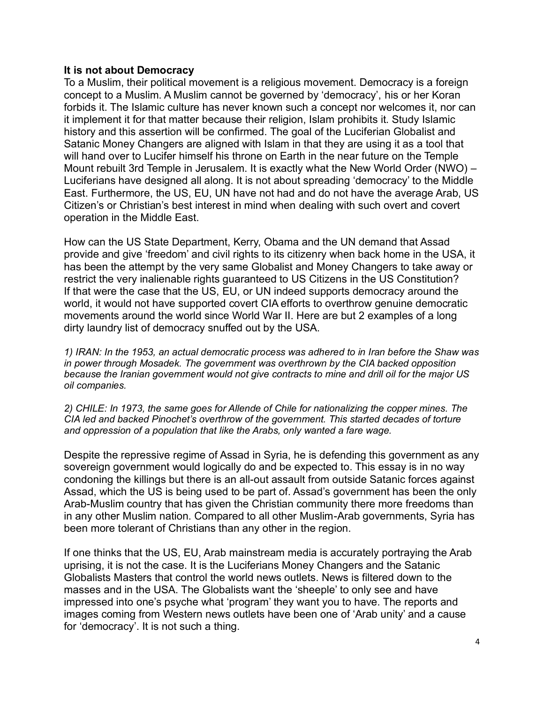# **It is not about Democracy**

To a Muslim, their political movement is a religious movement. Democracy is a foreign concept to a Muslim. A Muslim cannot be governed by 'democracy', his or her Koran forbids it. The Islamic culture has never known such a concept nor welcomes it, nor can it implement it for that matter because their religion, Islam prohibits it. Study Islamic history and this assertion will be confirmed. The goal of the Luciferian Globalist and Satanic Money Changers are aligned with Islam in that they are using it as a tool that will hand over to Lucifer himself his throne on Earth in the near future on the Temple Mount rebuilt 3rd Temple in Jerusalem. It is exactly what the New World Order (NWO) – Luciferians have designed all along. It is not about spreading 'democracy' to the Middle East. Furthermore, the US, EU, UN have not had and do not have the average Arab, US Citizen's or Christian's best interest in mind when dealing with such overt and covert operation in the Middle East.

How can the US State Department, Kerry, Obama and the UN demand that Assad provide and give 'freedom' and civil rights to its citizenry when back home in the USA, it has been the attempt by the very same Globalist and Money Changers to take away or restrict the very inalienable rights guaranteed to US Citizens in the US Constitution? If that were the case that the US, EU, or UN indeed supports democracy around the world, it would not have supported covert CIA efforts to overthrow genuine democratic movements around the world since World War II. Here are but 2 examples of a long dirty laundry list of democracy snuffed out by the USA.

*1) IRAN: In the 1953, an actual democratic process was adhered to in Iran before the Shaw was in power through Mosadek. The government was overthrown by the CIA backed opposition because the Iranian government would not give contracts to mine and drill oil for the major US oil companies.* 

*2) CHILE: In 1973, the same goes for Allende of Chile for nationalizing the copper mines. The CIA led and backed Pinochet's overthrow of the government. This started decades of torture and oppression of a population that like the Arabs, only wanted a fare wage.*

Despite the repressive regime of Assad in Syria, he is defending this government as any sovereign government would logically do and be expected to. This essay is in no way condoning the killings but there is an all-out assault from outside Satanic forces against Assad, which the US is being used to be part of. Assad's government has been the only Arab-Muslim country that has given the Christian community there more freedoms than in any other Muslim nation. Compared to all other Muslim-Arab governments, Syria has been more tolerant of Christians than any other in the region.

If one thinks that the US, EU, Arab mainstream media is accurately portraying the Arab uprising, it is not the case. It is the Luciferians Money Changers and the Satanic Globalists Masters that control the world news outlets. News is filtered down to the masses and in the USA. The Globalists want the 'sheeple' to only see and have impressed into one's psyche what 'program' they want you to have. The reports and images coming from Western news outlets have been one of 'Arab unity' and a cause for 'democracy'. It is not such a thing.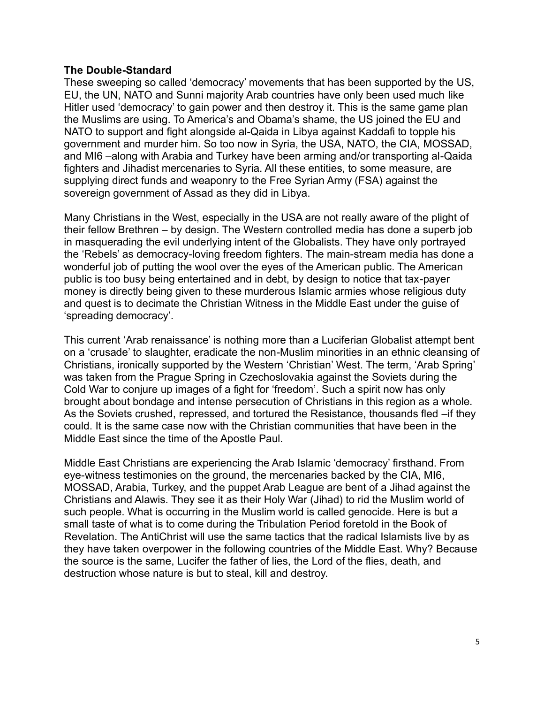# **The Double-Standard**

These sweeping so called 'democracy' movements that has been supported by the US, EU, the UN, NATO and Sunni majority Arab countries have only been used much like Hitler used 'democracy' to gain power and then destroy it. This is the same game plan the Muslims are using. To America's and Obama's shame, the US joined the EU and NATO to support and fight alongside al-Qaida in Libya against Kaddafi to topple his government and murder him. So too now in Syria, the USA, NATO, the CIA, MOSSAD, and MI6 –along with Arabia and Turkey have been arming and/or transporting al-Qaida fighters and Jihadist mercenaries to Syria. All these entities, to some measure, are supplying direct funds and weaponry to the Free Syrian Army (FSA) against the sovereign government of Assad as they did in Libya.

Many Christians in the West, especially in the USA are not really aware of the plight of their fellow Brethren – by design. The Western controlled media has done a superb job in masquerading the evil underlying intent of the Globalists. They have only portrayed the 'Rebels' as democracy-loving freedom fighters. The main-stream media has done a wonderful job of putting the wool over the eyes of the American public. The American public is too busy being entertained and in debt, by design to notice that tax-payer money is directly being given to these murderous Islamic armies whose religious duty and quest is to decimate the Christian Witness in the Middle East under the guise of 'spreading democracy'.

This current 'Arab renaissance' is nothing more than a Luciferian Globalist attempt bent on a 'crusade' to slaughter, eradicate the non-Muslim minorities in an ethnic cleansing of Christians, ironically supported by the Western 'Christian' West. The term, 'Arab Spring' was taken from the Prague Spring in Czechoslovakia against the Soviets during the Cold War to conjure up images of a fight for 'freedom'. Such a spirit now has only brought about bondage and intense persecution of Christians in this region as a whole. As the Soviets crushed, repressed, and tortured the Resistance, thousands fled –if they could. It is the same case now with the Christian communities that have been in the Middle East since the time of the Apostle Paul.

Middle East Christians are experiencing the Arab Islamic 'democracy' firsthand. From eye-witness testimonies on the ground, the mercenaries backed by the CIA, MI6, MOSSAD, Arabia, Turkey, and the puppet Arab League are bent of a Jihad against the Christians and Alawis. They see it as their Holy War (Jihad) to rid the Muslim world of such people. What is occurring in the Muslim world is called genocide. Here is but a small taste of what is to come during the Tribulation Period foretold in the Book of Revelation. The AntiChrist will use the same tactics that the radical Islamists live by as they have taken overpower in the following countries of the Middle East. Why? Because the source is the same, Lucifer the father of lies, the Lord of the flies, death, and destruction whose nature is but to steal, kill and destroy.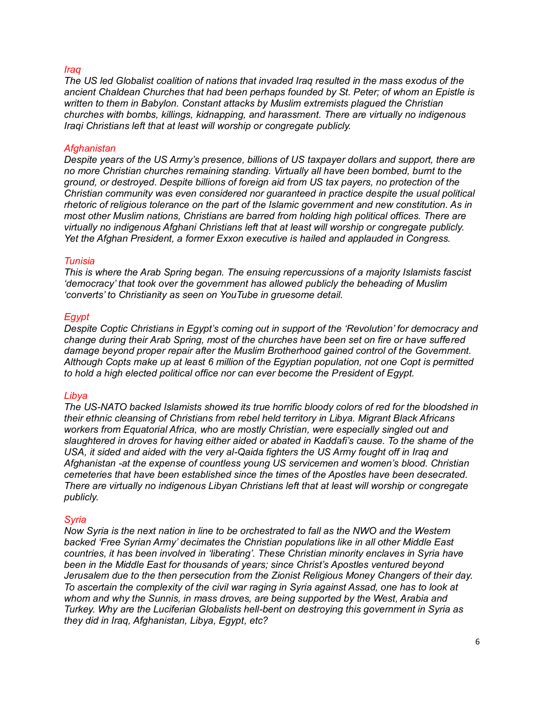# *Iraq*

*The US led Globalist coalition of nations that invaded Iraq resulted in the mass exodus of the ancient Chaldean Churches that had been perhaps founded by St. Peter; of whom an Epistle is written to them in Babylon. Constant attacks by Muslim extremists plagued the Christian churches with bombs, killings, kidnapping, and harassment. There are virtually no indigenous Iraqi Christians left that at least will worship or congregate publicly.*

# *Afghanistan*

*Despite years of the US Army's presence, billions of US taxpayer dollars and support, there are no more Christian churches remaining standing. Virtually all have been bombed, burnt to the ground, or destroyed. Despite billions of foreign aid from US tax payers, no protection of the Christian community was even considered nor guaranteed in practice despite the usual political rhetoric of religious tolerance on the part of the Islamic government and new constitution. As in most other Muslim nations, Christians are barred from holding high political offices. There are virtually no indigenous Afghani Christians left that at least will worship or congregate publicly. Yet the Afghan President, a former Exxon executive is hailed and applauded in Congress.*

# *Tunisia*

*This is where the Arab Spring began. The ensuing repercussions of a majority Islamists fascist 'democracy' that took over the government has allowed publicly the beheading of Muslim 'converts' to Christianity as seen on YouTube in gruesome detail.*

# *Egypt*

*Despite Coptic Christians in Egypt's coming out in support of the 'Revolution' for democracy and change during their Arab Spring, most of the churches have been set on fire or have suffered damage beyond proper repair after the Muslim Brotherhood gained control of the Government. Although Copts make up at least 6 million of the Egyptian population, not one Copt is permitted to hold a high elected political office nor can ever become the President of Egypt.* 

# *Libya*

*The US-NATO backed Islamists showed its true horrific bloody colors of red for the bloodshed in their ethnic cleansing of Christians from rebel held territory in Libya. Migrant Black Africans workers from Equatorial Africa, who are mostly Christian, were especially singled out and slaughtered in droves for having either aided or abated in Kaddafi's cause. To the shame of the USA, it sided and aided with the very al-Qaida fighters the US Army fought off in Iraq and Afghanistan -at the expense of countless young US servicemen and women's blood. Christian cemeteries that have been established since the times of the Apostles have been desecrated. There are virtually no indigenous Libyan Christians left that at least will worship or congregate publicly.*

# *Syria*

*Now Syria is the next nation in line to be orchestrated to fall as the NWO and the Western backed 'Free Syrian Army' decimates the Christian populations like in all other Middle East countries, it has been involved in 'liberating'. These Christian minority enclaves in Syria have been in the Middle East for thousands of years; since Christ's Apostles ventured beyond Jerusalem due to the then persecution from the Zionist Religious Money Changers of their day. To ascertain the complexity of the civil war raging in Syria against Assad, one has to look at*  whom and why the Sunnis, in mass droves, are being supported by the West, Arabia and *Turkey. Why are the Luciferian Globalists hell-bent on destroying this government in Syria as they did in Iraq, Afghanistan, Libya, Egypt, etc?*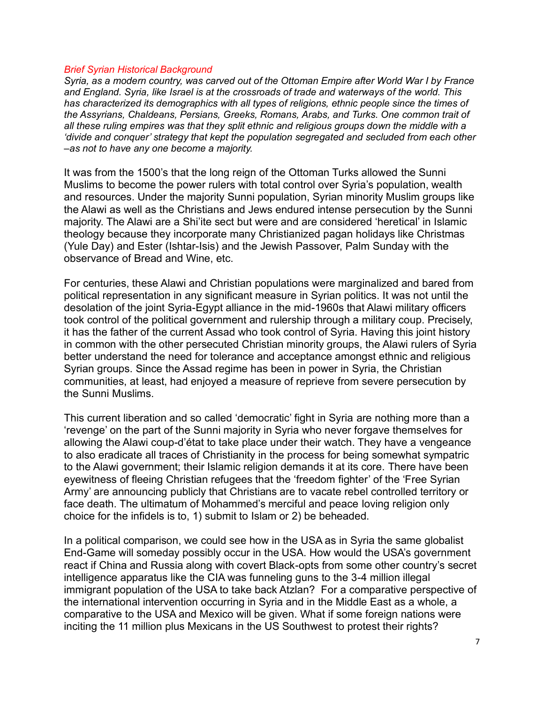#### *Brief Syrian Historical Background*

*Syria, as a modern country, was carved out of the Ottoman Empire after World War I by France and England. Syria, like Israel is at the crossroads of trade and waterways of the world. This has characterized its demographics with all types of religions, ethnic people since the times of the Assyrians, Chaldeans, Persians, Greeks, Romans, Arabs, and Turks. One common trait of all these ruling empires was that they split ethnic and religious groups down the middle with a 'divide and conquer' strategy that kept the population segregated and secluded from each other –as not to have any one become a majority.*

It was from the 1500's that the long reign of the Ottoman Turks allowed the Sunni Muslims to become the power rulers with total control over Syria's population, wealth and resources. Under the majority Sunni population, Syrian minority Muslim groups like the Alawi as well as the Christians and Jews endured intense persecution by the Sunni majority. The Alawi are a Shi'ite sect but were and are considered 'heretical' in Islamic theology because they incorporate many Christianized pagan holidays like Christmas (Yule Day) and Ester (Ishtar-Isis) and the Jewish Passover, Palm Sunday with the observance of Bread and Wine, etc.

For centuries, these Alawi and Christian populations were marginalized and bared from political representation in any significant measure in Syrian politics. It was not until the desolation of the joint Syria-Egypt alliance in the mid-1960s that Alawi military officers took control of the political government and rulership through a military coup. Precisely, it has the father of the current Assad who took control of Syria. Having this joint history in common with the other persecuted Christian minority groups, the Alawi rulers of Syria better understand the need for tolerance and acceptance amongst ethnic and religious Syrian groups. Since the Assad regime has been in power in Syria, the Christian communities, at least, had enjoyed a measure of reprieve from severe persecution by the Sunni Muslims.

This current liberation and so called 'democratic' fight in Syria are nothing more than a 'revenge' on the part of the Sunni majority in Syria who never forgave themselves for allowing the Alawi coup-d'état to take place under their watch. They have a vengeance to also eradicate all traces of Christianity in the process for being somewhat sympatric to the Alawi government; their Islamic religion demands it at its core. There have been eyewitness of fleeing Christian refugees that the 'freedom fighter' of the 'Free Syrian Army' are announcing publicly that Christians are to vacate rebel controlled territory or face death. The ultimatum of Mohammed's merciful and peace loving religion only choice for the infidels is to, 1) submit to Islam or 2) be beheaded.

In a political comparison, we could see how in the USA as in Syria the same globalist End-Game will someday possibly occur in the USA. How would the USA's government react if China and Russia along with covert Black-opts from some other country's secret intelligence apparatus like the CIA was funneling guns to the 3-4 million illegal immigrant population of the USA to take back Atzlan? For a comparative perspective of the international intervention occurring in Syria and in the Middle East as a whole, a comparative to the USA and Mexico will be given. What if some foreign nations were inciting the 11 million plus Mexicans in the US Southwest to protest their rights?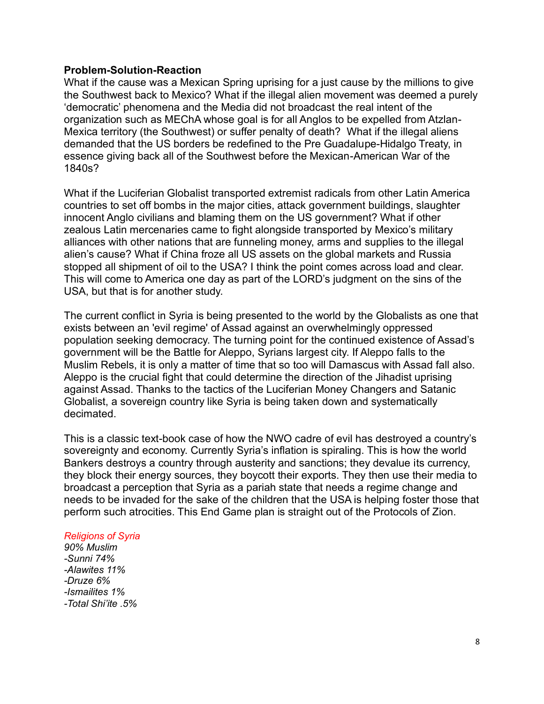# **Problem-Solution-Reaction**

What if the cause was a Mexican Spring uprising for a just cause by the millions to give the Southwest back to Mexico? What if the illegal alien movement was deemed a purely 'democratic' phenomena and the Media did not broadcast the real intent of the organization such as MEChA whose goal is for all Anglos to be expelled from Atzlan-Mexica territory (the Southwest) or suffer penalty of death? What if the illegal aliens demanded that the US borders be redefined to the Pre Guadalupe-Hidalgo Treaty, in essence giving back all of the Southwest before the Mexican-American War of the 1840s?

What if the Luciferian Globalist transported extremist radicals from other Latin America countries to set off bombs in the major cities, attack government buildings, slaughter innocent Anglo civilians and blaming them on the US government? What if other zealous Latin mercenaries came to fight alongside transported by Mexico's military alliances with other nations that are funneling money, arms and supplies to the illegal alien's cause? What if China froze all US assets on the global markets and Russia stopped all shipment of oil to the USA? I think the point comes across load and clear. This will come to America one day as part of the LORD's judgment on the sins of the USA, but that is for another study.

The current conflict in Syria is being presented to the world by the Globalists as one that exists between an 'evil regime' of Assad against an overwhelmingly oppressed population seeking democracy. The turning point for the continued existence of Assad's government will be the Battle for Aleppo, Syrians largest city. If Aleppo falls to the Muslim Rebels, it is only a matter of time that so too will Damascus with Assad fall also. Aleppo is the crucial fight that could determine the direction of the Jihadist uprising against Assad. Thanks to the tactics of the Luciferian Money Changers and Satanic Globalist, a sovereign country like Syria is being taken down and systematically decimated.

This is a classic text-book case of how the NWO cadre of evil has destroyed a country's sovereignty and economy. Currently Syria's inflation is spiraling. This is how the world Bankers destroys a country through austerity and sanctions; they devalue its currency, they block their energy sources, they boycott their exports. They then use their media to broadcast a perception that Syria as a pariah state that needs a regime change and needs to be invaded for the sake of the children that the USA is helping foster those that perform such atrocities. This End Game plan is straight out of the Protocols of Zion.

# *Religions of Syria*

*90% Muslim -Sunni 74% -Alawites 11% -Druze 6% -Ismailites 1% -Total Shi'ite .5%*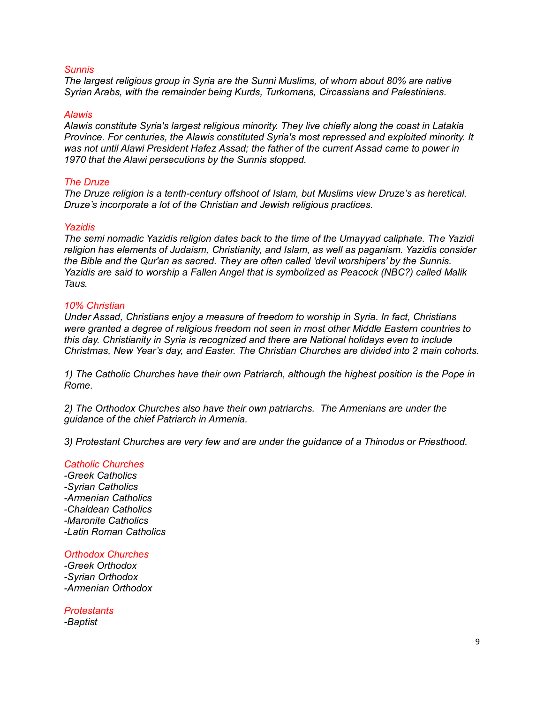## *Sunnis*

*The largest religious group in Syria are the Sunni Muslims, of whom about 80% are native Syrian Arabs, with the remainder being Kurds, Turkomans, Circassians and Palestinians.* 

#### *Alawis*

*Alawis constitute Syria's largest religious minority. They live chiefly along the coast in Latakia Province. For centuries, the Alawis constituted Syria's most repressed and exploited minority. It was not until Alawi President Hafez Assad; the father of the current Assad came to power in 1970 that the Alawi persecutions by the Sunnis stopped.*

#### *The Druze*

*The Druze religion is a tenth-century offshoot of Islam, but Muslims view Druze's as heretical. Druze's incorporate a lot of the Christian and Jewish religious practices.*

#### *Yazidis*

*The semi nomadic Yazidis religion dates back to the time of the Umayyad caliphate. The Yazidi religion has elements of Judaism, Christianity, and Islam, as well as paganism. Yazidis consider the Bible and the Qur'an as sacred. They are often called 'devil worshipers' by the Sunnis. Yazidis are said to worship a Fallen Angel that is symbolized as Peacock (NBC?) called Malik Taus.*

#### *10% Christian*

*Under Assad, Christians enjoy a measure of freedom to worship in Syria. In fact, Christians were granted a degree of religious freedom not seen in most other Middle Eastern countries to this day. Christianity in Syria is recognized and there are National holidays even to include Christmas, New Year's day, and Easter. The Christian Churches are divided into 2 main cohorts.*

*1) The Catholic Churches have their own Patriarch, although the highest position is the Pope in Rome.* 

*2) The Orthodox Churches also have their own patriarchs. The Armenians are under the guidance of the chief Patriarch in Armenia.* 

*3) Protestant Churches are very few and are under the guidance of a Thinodus or Priesthood.*

# *Catholic Churches*

*-Greek Catholics -Syrian Catholics -Armenian Catholics -Chaldean Catholics -Maronite Catholics -Latin Roman Catholics*

#### *Orthodox Churches*

*-Greek Orthodox -Syrian Orthodox -Armenian Orthodox*

*Protestants -Baptist*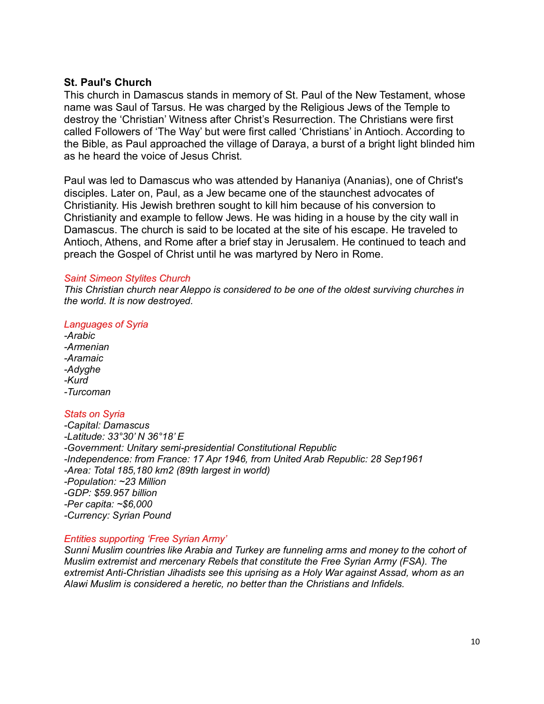# **St. Paul's Church**

This church in Damascus stands in memory of St. Paul of the New Testament, whose name was Saul of Tarsus. He was charged by the Religious Jews of the Temple to destroy the 'Christian' Witness after Christ's Resurrection. The Christians were first called Followers of 'The Way' but were first called 'Christians' in Antioch. According to the Bible, as Paul approached the village of Daraya, a burst of a bright light blinded him as he heard the voice of Jesus Christ.

Paul was led to Damascus who was attended by Hananiya (Ananias), one of Christ's disciples. Later on, Paul, as a Jew became one of the staunchest advocates of Christianity. His Jewish brethren sought to kill him because of his conversion to Christianity and example to fellow Jews. He was hiding in a house by the city wall in Damascus. The church is said to be located at the site of his escape. He traveled to Antioch, Athens, and Rome after a brief stay in Jerusalem. He continued to teach and preach the Gospel of Christ until he was martyred by Nero in Rome.

# *Saint Simeon Stylites Church*

*This Christian church near Aleppo is considered to be one of the oldest surviving churches in the world. It is now destroyed.*

# *Languages of Syria*

*-Arabic -Armenian -Aramaic -Adyghe -Kurd -Turcoman*

# *Stats on Syria*

*-Capital: Damascus -Latitude: 33°30' N 36°18' E -Government: Unitary semi-presidential Constitutional Republic -Independence: from France: 17 Apr 1946, from United Arab Republic: 28 Sep1961 -Area: Total 185,180 km2 (89th largest in world) -Population: ~23 Million -GDP: \$59.957 billion -Per capita: ~\$6,000 -Currency: Syrian Pound*

# *Entities supporting 'Free Syrian Army'*

*Sunni Muslim countries like Arabia and Turkey are funneling arms and money to the cohort of Muslim extremist and mercenary Rebels that constitute the Free Syrian Army (FSA). The extremist Anti-Christian Jihadists see this uprising as a Holy War against Assad, whom as an Alawi Muslim is considered a heretic, no better than the Christians and Infidels.*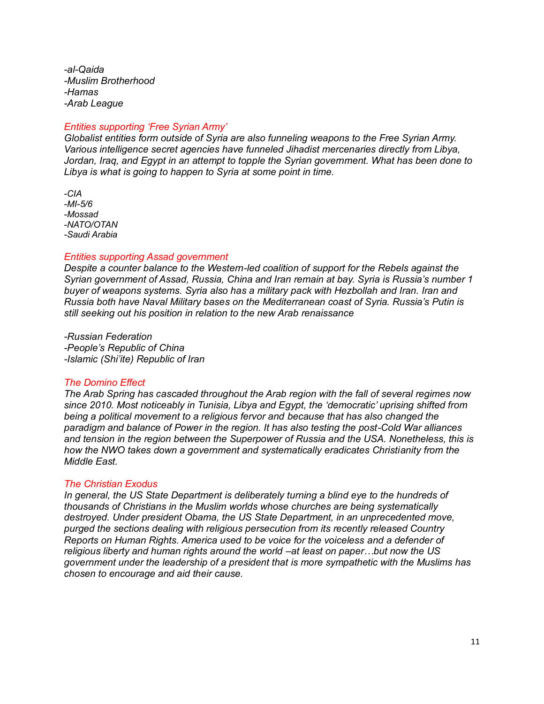*-al-Qaida -Muslim Brotherhood -Hamas -Arab League*

# *Entities supporting 'Free Syrian Army'*

*Globalist entities form outside of Syria are also funneling weapons to the Free Syrian Army. Various intelligence secret agencies have funneled Jihadist mercenaries directly from Libya, Jordan, Iraq, and Egypt in an attempt to topple the Syrian government. What has been done to Libya is what is going to happen to Syria at some point in time.*

*-CIA -MI-5/6 -Mossad -NATO/OTAN -Saudi Arabia*

#### *Entities supporting Assad government*

*Despite a counter balance to the Western-led coalition of support for the Rebels against the Syrian government of Assad, Russia, China and Iran remain at bay. Syria is Russia's number 1 buyer of weapons systems. Syria also has a military pack with Hezbollah and Iran. Iran and Russia both have Naval Military bases on the Mediterranean coast of Syria. Russia's Putin is still seeking out his position in relation to the new Arab renaissance*

*-Russian Federation -People's Republic of China -Islamic (Shi'ite) Republic of Iran*

#### *The Domino Effect*

*The Arab Spring has cascaded throughout the Arab region with the fall of several regimes now since 2010. Most noticeably in Tunisia, Libya and Egypt, the 'democratic' uprising shifted from being a political movement to a religious fervor and because that has also changed the paradigm and balance of Power in the region. It has also testing the post-Cold War alliances and tension in the region between the Superpower of Russia and the USA. Nonetheless, this is how the NWO takes down a government and systematically eradicates Christianity from the Middle East.*

## *The Christian Exodus*

*In general, the US State Department is deliberately turning a blind eye to the hundreds of thousands of Christians in the Muslim worlds whose churches are being systematically destroyed. Under president Obama, the US State Department, in an unprecedented move, purged the sections dealing with religious persecution from its recently released Country Reports on Human Rights. America used to be voice for the voiceless and a defender of religious liberty and human rights around the world –at least on paper…but now the US government under the leadership of a president that is more sympathetic with the Muslims has chosen to encourage and aid their cause.*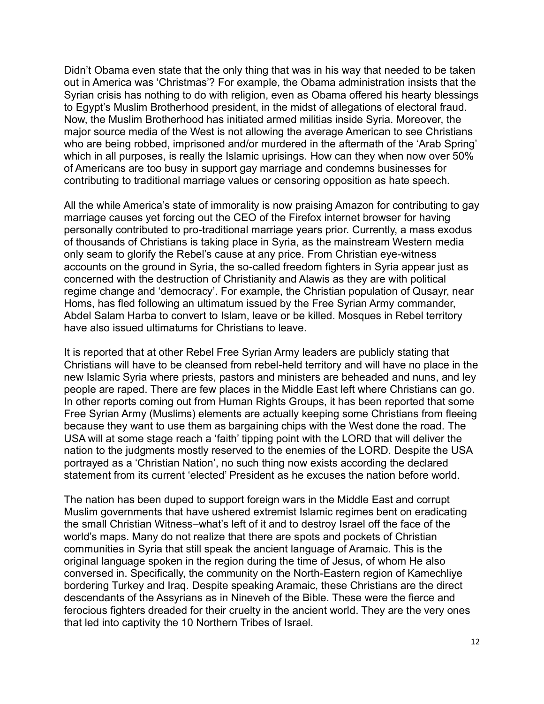Didn't Obama even state that the only thing that was in his way that needed to be taken out in America was 'Christmas'? For example, the Obama administration insists that the Syrian crisis has nothing to do with religion, even as Obama offered his hearty blessings to Egypt's Muslim Brotherhood president, in the midst of allegations of electoral fraud. Now, the Muslim Brotherhood has initiated armed militias inside Syria. Moreover, the major source media of the West is not allowing the average American to see Christians who are being robbed, imprisoned and/or murdered in the aftermath of the 'Arab Spring' which in all purposes, is really the Islamic uprisings. How can they when now over 50% of Americans are too busy in support gay marriage and condemns businesses for contributing to traditional marriage values or censoring opposition as hate speech.

All the while America's state of immorality is now praising Amazon for contributing to gay marriage causes yet forcing out the CEO of the Firefox internet browser for having personally contributed to pro-traditional marriage years prior. Currently, a mass exodus of thousands of Christians is taking place in Syria, as the mainstream Western media only seam to glorify the Rebel's cause at any price. From Christian eye-witness accounts on the ground in Syria, the so-called freedom fighters in Syria appear just as concerned with the destruction of Christianity and Alawis as they are with political regime change and 'democracy'. For example, the Christian population of Qusayr, near Homs, has fled following an ultimatum issued by the Free Syrian Army commander, Abdel Salam Harba to convert to Islam, leave or be killed. Mosques in Rebel territory have also issued ultimatums for Christians to leave.

It is reported that at other Rebel Free Syrian Army leaders are publicly stating that Christians will have to be cleansed from rebel-held territory and will have no place in the new Islamic Syria where priests, pastors and ministers are beheaded and nuns, and ley people are raped. There are few places in the Middle East left where Christians can go. In other reports coming out from Human Rights Groups, it has been reported that some Free Syrian Army (Muslims) elements are actually keeping some Christians from fleeing because they want to use them as bargaining chips with the West done the road. The USA will at some stage reach a 'faith' tipping point with the LORD that will deliver the nation to the judgments mostly reserved to the enemies of the LORD. Despite the USA portrayed as a 'Christian Nation', no such thing now exists according the declared statement from its current 'elected' President as he excuses the nation before world.

The nation has been duped to support foreign wars in the Middle East and corrupt Muslim governments that have ushered extremist Islamic regimes bent on eradicating the small Christian Witness–what's left of it and to destroy Israel off the face of the world's maps. Many do not realize that there are spots and pockets of Christian communities in Syria that still speak the ancient language of Aramaic. This is the original language spoken in the region during the time of Jesus, of whom He also conversed in. Specifically, the community on the North-Eastern region of Kamechliye bordering Turkey and Iraq. Despite speaking Aramaic, these Christians are the direct descendants of the Assyrians as in Nineveh of the Bible. These were the fierce and ferocious fighters dreaded for their cruelty in the ancient world. They are the very ones that led into captivity the 10 Northern Tribes of Israel.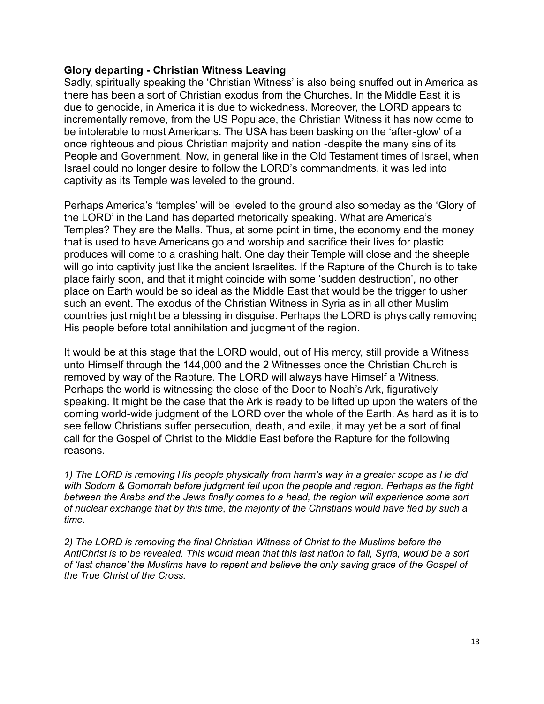# **Glory departing - Christian Witness Leaving**

Sadly, spiritually speaking the 'Christian Witness' is also being snuffed out in America as there has been a sort of Christian exodus from the Churches. In the Middle East it is due to genocide, in America it is due to wickedness. Moreover, the LORD appears to incrementally remove, from the US Populace, the Christian Witness it has now come to be intolerable to most Americans. The USA has been basking on the 'after-glow' of a once righteous and pious Christian majority and nation -despite the many sins of its People and Government. Now, in general like in the Old Testament times of Israel, when Israel could no longer desire to follow the LORD's commandments, it was led into captivity as its Temple was leveled to the ground.

Perhaps America's 'temples' will be leveled to the ground also someday as the 'Glory of the LORD' in the Land has departed rhetorically speaking. What are America's Temples? They are the Malls. Thus, at some point in time, the economy and the money that is used to have Americans go and worship and sacrifice their lives for plastic produces will come to a crashing halt. One day their Temple will close and the sheeple will go into captivity just like the ancient Israelites. If the Rapture of the Church is to take place fairly soon, and that it might coincide with some 'sudden destruction', no other place on Earth would be so ideal as the Middle East that would be the trigger to usher such an event. The exodus of the Christian Witness in Syria as in all other Muslim countries just might be a blessing in disguise. Perhaps the LORD is physically removing His people before total annihilation and judgment of the region.

It would be at this stage that the LORD would, out of His mercy, still provide a Witness unto Himself through the 144,000 and the 2 Witnesses once the Christian Church is removed by way of the Rapture. The LORD will always have Himself a Witness. Perhaps the world is witnessing the close of the Door to Noah's Ark, figuratively speaking. It might be the case that the Ark is ready to be lifted up upon the waters of the coming world-wide judgment of the LORD over the whole of the Earth. As hard as it is to see fellow Christians suffer persecution, death, and exile, it may yet be a sort of final call for the Gospel of Christ to the Middle East before the Rapture for the following reasons.

*1) The LORD is removing His people physically from harm's way in a greater scope as He did with Sodom & Gomorrah before judgment fell upon the people and region. Perhaps as the fight between the Arabs and the Jews finally comes to a head, the region will experience some sort of nuclear exchange that by this time, the majority of the Christians would have fled by such a time.*

*2) The LORD is removing the final Christian Witness of Christ to the Muslims before the AntiChrist is to be revealed. This would mean that this last nation to fall, Syria, would be a sort of 'last chance' the Muslims have to repent and believe the only saving grace of the Gospel of the True Christ of the Cross.*